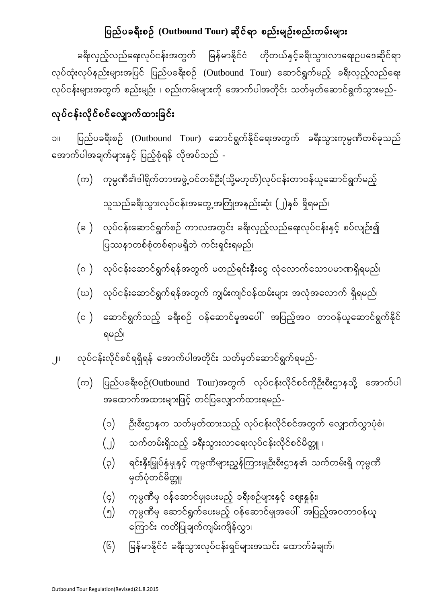#### ပြည်ပခ<mark>ရီး</mark>စဉ် (Outbound Tour) ဆိုင်ရာ စည်းမျဉ်းစည်းကမ်းများ

ခရီးလှည့်လည်ရေးလုပ်ငန်းအတွက် မြန်မာနိုင်ငံ ဟိုတယ်နှင့်ခရီးသွားလာရေးဉပဒေဆိုင်ရာ လုပ်ထုံးလုပ်နည်းများအပြင် ပြည်ပခရီးစဉ် (Outbound Tour) ဆောင်ရွက်မည့် ခရီးလှည့်လည်ရေး လုပ်ငန်းများအတွက် စည်းမျဉ်း ၊ စည်းကမ်းများကို အောက်ပါအတိုင်း သတ်မှတ်ဆောင်ရွက်သွားမည်-

#### လုပ်ငန်းလိုင်စင်လျှောက်ထားခြင်း

၁။ ပြည်ပခရီးစဉ် (Outbound Tour) ဆောင်ရွက်နိုင်ရေးအတွက် ခရီးသွားကုမ္ပဏီတစ်ခုသည် အောက်ပါအချက်များနှင့် ပြည့်စုံရန် လိုအပ်သည် -

- $\big($ က) ကုမ္ပဏီ၏ဒါရိုက်တာအဖွဲ့့ဝင်တစ်ဦး $\big($ သို့မဟုတ် $\big)$ လုပ်ငန်းတာဝန်ယူဆောင်ရွက်မည့် သူသည်ခရီးသွားလုပ်ငန်းအတွေ့အကြုံအနည်းဆုံး (၂)နှစ် ရှိရမည်၊
- (ခ ) လုပ်ငန်းဆောင်ရွက်စဉ် ကာလအတွင်း ခရီးလှည့်လည်ရေးလုပ်ငန်းနှင့် စပ်လျဉ်း၍ ပြဿနာတစ်စုံတစ်ရာမရှိဘဲ ကင်းရှင်းရမည်၊
- (ဂ ) လုပ်ငန်းဆောင်ရွက်ရန်အတွက် မတည်ရင်းနှီးငွေ လုံလောက်သောပမာဏရှိရမည်၊
- $\left(\omega\right)$  လုပ်ငန်းဆောင်ရွက်ရန်အတွက် ကျွမ်းကျင်ဝန်ထမ်းများ အလုံအလောက် ရှိရမည်၊
- $(c)$  ဆောင်ရွက်သည့် ခရီးစဉ် ဝန်ဆောင်မှအပေါ် အပြည့်အဝ တာဝန်ယူဆောင်ရွက်နိုင် ရမည်၊
- ၂။ လုပ်ငန်းလိုင်စင်ရရှိရန် အောက်ပါအတိုင်း သတ်မှတ်ဆောင်ရွက်ရမည်-
	- $\left(\varpi\right)$  ပြည်ပခရီးစဉ်(Outbound Tour)အတွက် လုပ်ငန်းလိုင်စင်ကိုဉီးစီးဌာနသို့ အောက်ပါ အထောက်အထားများဖြင့် တင်ပြလျှောက်ထားရမည်-
		- (၁) ဦးစီးဌာနက သတ်မှတ်ထားသည့် လုပ်ငန်းလိုင်စင်အတွက် လျှောက်လွှာပုံစံ၊
		- $\begin{pmatrix} 0 \end{pmatrix}$  သက်တမ်းရှိသည့် ခရီးသွားလာရေးလုပ်ငန်းလိုင်စင်မိတ္တူ ၊
		- $\left(\mathsf{p}\right)$  ရင်းနှီးမြှုပ်နှံမှုနှင့် ကုမ္ပဏီများညွှန်ကြားမှုဦးစီးဌာန၏ သက်တမ်းရှိ ကုမ္ပဏီ မှတ်ပုံတင်မိတ္တူ
		- $(q)$  ကုမ္ပဏီမှ ဝန်ဆောင်မှုပေးမည့် ခရီးစဉ်များနှင့် ဈေးနှုန်း၊
		- $($ ၅ $)$  ကုမ္ပဏီမှ ဆောင်ရွက်ပေးမည့် ဝန်ဆောင်မှုအပေါ် အပြည့်အဝတာဝန်ယူ <mark>ကြောင်း</mark> ကတိပြုချက်ကျမ်းကျိန်လွှာ၊
		- (၆) မြန်မာနိုင်ငံ ခရီးသွားလုပ်ငန်းရှင်များအသင်း ထောက်ခံချက်၊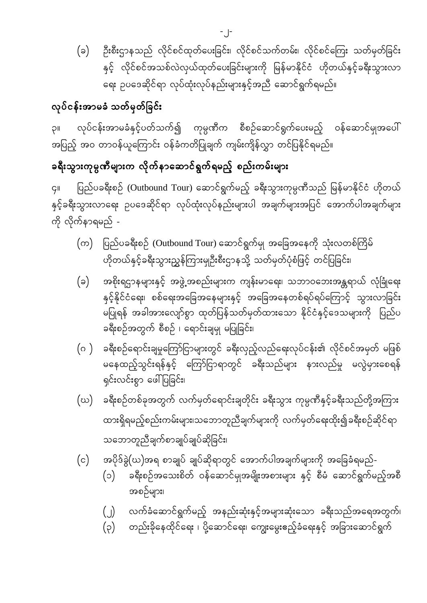ဦးစီးဌာနသည် လိုင်စင်ထုတ်ပေးခြင်း၊ လိုင်စင်သက်တမ်း၊ လိုင်စင်ကြေး သတ်မှတ်ခြင်း  $(a)$ နှင့် လိုင်စင်အသစ်လဲလှယ်ထုတ်ပေးခြင်းများကို မြန်မာနိုင်ငံ ဟိုတယ်နှင့်ခရီးသွားလာ ရေး ဉပဒေဆိုင်ရာ လုပ်ထုံးလုပ်နည်းများနှင့်အညီ ဆောင်ရွက်ရမည်။

## လုပ်ငန်းအာမခံ သတ်မှတ်ခြင်း

လုပ်ငန်းအာမခံနှင့်ပတ်သက်၍ ကုမ္ပဏီက စီစဉ်ဆောင်ရွက်ပေးမည့် ဝန်ဆောင်မှုအပေါ်  $\overline{1}$ အပြည့် အဝ တာဝန်ယူကြောင်း ဝန်ခံကတိပြုချက် ကျမ်းကျိန်လွှာ တင်ပြနိုင်ရမည်။

# ခရီးသွားကုမ္ပဏီများက လိုက်နာဆောင်ရွက်ရမည့် စည်းကမ်းများ

ပြည်ပခရီးစဉ် (Outbound Tour) ဆောင်ရွက်မည့် ခရီးသွားကုမ္ပဏီသည် မြန်မာနိုင်ငံ ဟိုတယ်  $\overline{G}$ ll နှင့်ခရီးသွားလာရေး ဉပဒေဆိုင်ရာ လုပ်ထုံးလုပ်နည်းများပါ အချက်များအပြင် အောက်ပါအချက်များ ကို လိုက်နာရမည် -

- (က) ပြည်ပခရီးစဉ် (Outbound Tour) ဆောင်ရွက်မှု အခြေအနေကို သုံးလတစ်ကြိမ် ဟိုတယ်နှင့်ခရီးသွားညွှန်ကြားမှုဦးစီးဌာနသို့ သတ်မှတ်ပုံစံဖြင့် တင်ပြခြင်း၊
- အစိုးရဌာနများနှင့် အဖွဲ့အစည်းများက ကျန်းမာရေး၊ သဘာဝဘေးအန္တရာယ် လုံခြုံရေး  $(\circ)$ နှင့်နိုင်ငံရေး၊ စစ်ရေးအခြေအနေများနှင့် အခြေအနေတစ်ရပ်ရပ်ကြောင့် သွားလာခြင်<mark>း</mark> မပြုရန် အခါအားလျော်စွာ ထုတ်ပြန်သတ်မှတ်ထားသော နိုင်ငံနှင့်ဒေသများကို ပြည်ပ ခရီးစဉ်အတွက် စီစဉ် ၊ ရောင်းချမှု မပြုခြင်း၊
- ခရီးစဉ်ရောင်းချမှုကြော်ငြာများတွင် ခရီးလှည့်လည်ရေးလုပ်ငန်း၏ လိုင်စင်အမှတ် မဖြစ်  $(\circ)$ မနေထည့်သွင်းရန်နှင့် ကြော်ငြာရာတွင် ခရီးသည်များ နားလည်မှု မလွဲမှားစေရန် ရှင်းလင်းစွာ ဖေါ်ပြခြင်း၊
- ခရီးစဉ်တစ်ခုအတွက် လက်မှတ်ရောင်းချတိုင်း ခရီးသွား ကုမ္ပဏီနှင့်ခရီးသည်တို့အကြား (ဃ) ထားရှိရမည့်စည်းကမ်းများ၊သဘောတူညီချက်များကို လက်မှတ်ရေးထိုး၍ခရီးစဉ်ဆိုင်ရာ သဘောတူညီချက်စာချုပ်ချုပ်ဆိုခြင်း၊
- အပိုဒ်ခွဲ(ဃ)အရ စာချုပ် ချုပ်ဆိုရာတွင် အောက်ပါအချက်များကို အခြေခံရမည်- $(c)$ 
	- ခရီးစဉ်အသေးစိတ် ဝန်ဆောင်မှုအမျိုးအစားများ နှင့် စီမံ ဆောင်ရွက်မည့်အစီ  $(c)$ အစဉ်များ၊
	- လက်ခံဆောင်ရွက်မည့် အနည်းဆုံးနှင့်အများဆုံးသော ခရီးသည်အရေအတွက်၊  $\binom{n}{k}$
	- တည်းခိုနေထိုင်ရေး ၊ ပို့ဆောင်ရေး၊ ကျွေးမွေးဧည့်ခံရေးနှင့် အခြားဆောင်ရွက်  $(\varphi)$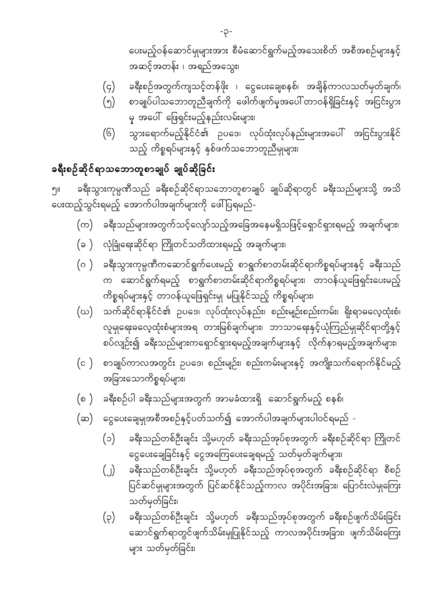- ခရီးသည်တစ်ဦးချင်း သို့မဟုတ် ခရီးသည်အုပ်စုအတွက် ခရီးစဉ်ဖျက်သိမ်းခြင်း  $(\varphi)$ ဆောင်ရွက်ရာတွင်ဖျက်သိမ်းမှုပြုနိုင်သည့် ကာလအပိုင်းအခြား၊ ဖျက်သိမ်းကြေး များ သတ်မှတ်ခြင်း၊
- ခရီးသည်တစ်ဦးချင်း သို့မဟုတ် ခရီးသည်အုပ်စုအတွက် ခရီးစဉ်ဆိုင်ရာ စီစဉ်  $\bigcup$ ပြင်ဆင်မှုများအတွက် ပြင်ဆင်နိုင်သည့်ကာလ အပိုင်းအခြား၊ ပြောင်းလဲမှုကြေး သတ်မှတ်ခြင်း၊
- ခရီးသည်တစ်ဦးချင်း သို့မဟုတ် ခရီးသည်အုပ်စုအတွက် ခရီးစဉ်ဆိုင်ရာ ကြိုတင်  $(c)$ ငွေပေးချေခြင်းနှင့် ငွေအကြေပေးချေရမည့် သတ်မှတ်ချက်များ၊
- (ဆ) ငွေပေးချေမှုအစီအစဉ်နှင့်ပတ်သက်၍ အောက်ပါအချက်များပါဝင်ရမည် -
- ခရီးစဉ်ပါ ခရီးသည်များအတွက် အာမခံထားရှိ ဆောင်ရွက်မည့် စနစ်၊  $(\circ)$
- စာချုပ်ကာလအတွင်း ဉပဒေ၊ စည်းမျဉ်း၊ စည်းကမ်းများနှင့် အကျိုးသက်ရောက်နိုင်မည့်  $(c)$ အခြားသောကိစ္စရပ်များ၊
- သက်ဆိုင်ရာနိုင်ငံ၏ ဉပဒေ၊ လုပ်ထုံးလုပ်နည်း၊ စည်းမျဉ်းစည်းကမ်း၊ ရိုးရာဓလေ့ထုံးစံ၊ (ဃ) လူမှုရေးဓလေ့ထုံးစံများအရ တားမြစ်ချက်များ၊ ဘာသာရေးနှင့်ယုံကြည်မှုဆိုင်ရာတို့နှင့် စပ်လျဉ်း၍ ခရီးသည်များကရှောင်ရှားရမည့်အချက်များနှင့် လိုက်နာရမည့်အချက်များ၊
- (ဂ ) ခရီးသွားကုမ္ပဏီကဆောင်ရွက်ပေးမည့် စာရွက်စာတမ်းဆိုင်ရာကိစ္စရပ်များနှင့် ခရီးသည် က ဆောင်ရွက်ရမည့် စာရွက်စာတမ်းဆိုင်ရာကိစ္စရပ်များ၊ တာဝန်ယူဖြေရှင်းပေးမည့် ကိစ္စရပ်များနှင့် တာဝန်ယူဖြေရှင်းမျ မပြုနိုင်သည့် ကိစ္စရပ်များ၊
- (ခ ) လုံခြုံရေးဆိုင်ရာ ကြိုတင်သတိထားရမည့် အချက်များ၊
- (က) ခရီးသည်များအတွက်သင့်လျော်သည့်အခြေအနေမရှိသဖြင့်ရှောင်ရှားရမည့် အချက်များ၊

ခရီးသွားကုမ္ပဏီသည် ခရီးစဉ်ဆိုင်ရာသဘောတူစာချုပ် ချုပ်ဆိုရာတွင် ခရီးသည်များသို့ အသိ ၅။ ပေးထည့်သွင်းရမည့် အောက်ပါအချက်များကို ဖေါ်ပြရမည်-

## ခရီးစဉ်ဆိုင်ရာသဘောတူစာချုပ် ချုပ်ဆိုခြင်း

- သည့် ကိစ္စရပ်များနှင့် နှစ်ဖက်သဘောတူညီမှုများ၊
- မှ အပေါ် ဖြေရှင်းမည့်နည်းလမ်းများ၊ သွားရောက်မည့်နိုင်ငံ၏ ဉပဒေ၊ လုပ်ထုံးလုပ်နည်းများအပေါ် အငြင်းပွားနိုင်  $(6)$
- စာချုပ်ပါသဘောတူညီချက်ကို ဖေါက်ဖျက်မှအပေါ် တာဝန်ရှိခြင်းနှင့် အငြင်းပွား  $(\gamma)$
- ခရီးစဉ်အတွက်ကျသင့်တန်ဖိုး ၊ ငွေပေးချေစနစ်၊ အချိန်ကာလသတ်မှတ်ချက်၊  $(\varsigma)$

ပေးမည့်ဝန်ဆောင်မှုများအား စီမံဆောင်ရွက်မည့်အသေးစိတ် အစီအစဉ်များနှင့် အဆင့်အတန်း ၊ အရည်အသွေး၊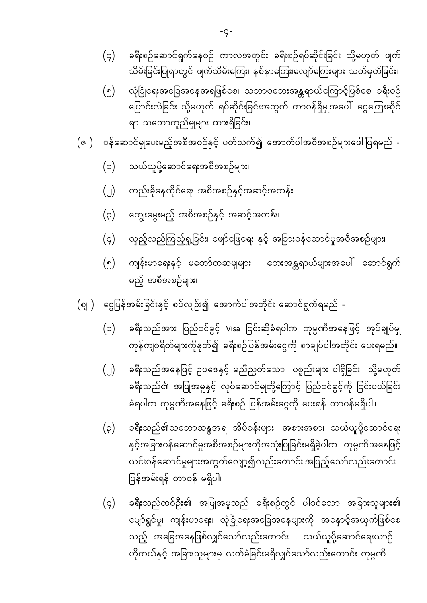- ခရီးသည်တစ်ဦး၏ အပြုအမူသည် ခရီးစဉ်တွင် ပါဝင်သော အခြားသူများ၏  $(q)$ ပျော်ရွင်မှု၊ ကျန်းမာရေး၊ လုံခြုံရေးအခြေအနေများကို အနှောင့်အယှက်ဖြစ်စေ သည့် အခြေအနေဖြစ်လျှင်သော်လည်းကောင်း ၊ သယ်ယူပို့ဆောင်ရေးယာဉ် ၊ ဟိုတယ်နှင့် အခြားသူများမှ လက်ခံခြင်းမရှိလျှင်သော်လည်းကောင်း ကုမ္<mark>ဂ</mark>ဏီ
- ခရီးသည်၏သဘောဆန္ဒအရ အိပ်ခန်းများ၊ အစားအစာ၊ သယ်ယူပို့ဆောင်ရေး  $(\varsigma)$ နှင့်အခြားဝန်ဆောင်မှုအစီအစဉ်များကိုအသုံးပြုခြင်းမရှိခဲ့ပါက ကုမ္ပဏီအနေဖြင့် ယင်းဝန်ဆောင်မှုများအတွက်လျော့၍လည်းကောင်း၊အပြည့်သော်လည်းကောင်း ပြန်အမ်းရန် တာဝန် မရှိပါ၊
- ခရီးသည်အနေဖြင့် ဥပဒေနှင့် မညီညွှတ်သော ပစ္စည်းများ ပါရှိခြင်း သို့မဟုတ်  $\bigcup$ ခရီးသည်၏ အပြုအမှုနှင့် လုပ်ဆောင်မှုတို့ကြောင့် ပြည်ဝင်ခွင့်ကို ငြင်းပယ်ခြင်း ခံရပါက ကုမ္ပဏီအနေဖြင့် ခရီးစဉ် ပြန်အမ်းငွေကို ပေးရန် တာဝန်မရှိပါ။
- ခရီးသည်အား ပြည်ဝင်ခွင့် Visa ငြင်းဆိုခံရပါက ကုမ္ပဏီအနေဖြင့် အုပ်ချုပ်မှု  $(c)$ ကုန်ကျစရိတ်များကိုနုတ်၍ ခရီးစဉ်ပြန်အမ်းငွေကို စာချုပ်ပါအတိုင်း ပေးရမည်။
- ငွေပြန်အမ်းခြင်းနှင့် စပ်လျဉ်း၍ အောက်ပါအတိုင်း ဆောင်ရွက်ရမည် - $(\circ$ ା )
- ကျန်းမာရေးနှင့် မတော်တဆမှုများ ၊ ဘေးအန္တရာယ်များအပေါ် ဆောင်ရွက်  $\binom{6}{}$ မည့် အစီအစဉ်များ၊
- လှည့်လည်ကြည့်ရှု့ခြင်း၊ ဖျော်ဖြေရေး နှင့် အခြားဝန်ဆောင်မှုအစီအစဉ်များ၊  $(q)$
- တည်းခိုနေထိုင်ရေး အစီအစဉ်နှင့်အဆင့်အတန်း၊  $\bigcup$ ကျွေးမွေးမည့် အစီအစဉ်နှင့် အဆင့်အတန်း၊  $(\varphi)$
- သယ်ယူပို့ဆောင်ရေးအစီအစဉ်များ၊  $(c)$
- ဝန်ဆောင်မှုပေးမည့်အစီအစဉ်နှင့် ပတ်သက်၍ အောက်ပါအစီအစဉ်များဖေါ်ပြရမည် - $(\circ)$
- လုံခြုံရေးအခြေအနေအရဖြစ်စေ၊ သဘာဝဘေးအန္တရာယ်ကြောင့်ဖြစ်စေ ခရီးစဉ်  $\binom{6}{}$ ပြောင်းလဲခြင်း သို့မဟုတ် ရပ်ဆိုင်းခြင်းအတွက် တာဝန်ရှိမှုအပေါ် ငွေကြေးဆိုင် ရာ သဘောတူညီမှုများ ထားရှိခြင်း၊
- ခရီးစဉ်ဆောင်ရွက်နေစဉ် ကာလအတွင်း ခရီးစဉ်ရပ်ဆိုင်းခြင်း သို့မဟုတ် ဖျက်  $(\varsigma)$ သိမ်းခြင်းပြုရာတွင် ဖျက်သိမ်းကြေး၊ နစ်နာကြေး၊လျော်ကြေးများ သတ်မှတ်ခြင်း၊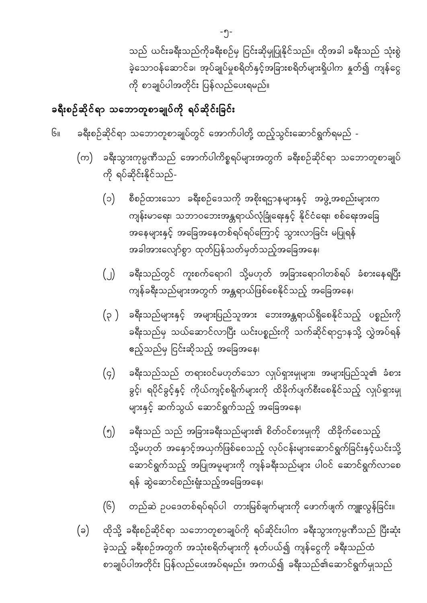သည် ယင်းခရီးသည်ကိုခရီးစဉ်မှ ငြင်းဆိုမှုပြုနိုင်သည်။ ထိုအခါ ခရီးသည် သုံးစွဲ ခဲ့သောဝန်ဆောင်ခ၊ အုပ်ချုပ်မှုစရိတ်နှင့်အခြားစရိတ်များရှိပါက နှုတ်၍ ကျန်ငွေ ကို စာချုပ်ပါအတိုင်း ပြန်လည်ပေးရမည်။

### ခရီးစဉ်ဆိုင်ရာ သဘောတူစာချုပ်ကို ရပ်ဆိုင်းခြင်း

ခရီးစဉ်ဆိုင်ရာ သဘောတူစာချုပ်တွင် အောက်ပါတို့ ထည့်သွင်းဆောင်ရွက်ရမည် - $G_{II}$ 

- ခရီးသွားကုမ္ပဏီသည် အောက်ပါကိစ္စရပ်များအတွက် ခရီးစဉ်ဆိုင်ရာ သဘောတူစာချုပ် (က) ကို ရပ်ဆိုင်းနိုင်သည်-
	- စီစဉ်ထားသော ခရီးစဉ်ဒေသကို အစိုးရဌာနများနှင့် အဖွဲ့အစည်းများက  $(c)$ ကျန်းမာရေး၊ သဘာဝဘေးအန္တရာယ်လုံခြုံရေးနှင့် နိုင်ငံရေး၊ စစ်ရေးအခြေ အနေများနှင့် အခြေအနေတစ်ရပ်ရပ်ကြောင့် သွားလာခြင်း မပြုရန် အခါအားလျော်စွာ ထုတ်ပြန်သတ်မှတ်သည့်အခြေအနေ၊
	- ခရီးသည်တွင် ကူးစက်ရောဂါ သို့မဟုတ် အခြားရောဂါတစ်ရပ် ခံစားနေရပြီး  $\bigcup$ ကျန်ခရီးသည်များအတွက် အန္တရာယ်ဖြစ်စေနိုင်သည့် အခြေအနေ၊
	- ခရီးသည်များနှင့် အများပြည်သူအား ဘေးအန္တရာယ်ရှိစေနိုင်သည့် ပစ္စည်းကို  $(\varphi)$ ခရီးသည်မှ သယ်ဆောင်လာပြီး ယင်းပစ္စည်းကို သက်ဆိုင်ရာဌာနသို့ လွှဲအပ်ရန် ဧည့်သည်မှ ငြင်းဆိုသည့် အခြေအနေ၊
	- ခရီးသည်သည် တရားဝင်မဟုတ်သော လှုပ်ရှားမှုများ၊ အများပြည်သူ၏ ခံစား  $(\varsigma)$ ခွင့်၊ ရပိုင်ခွင့်နှင့် ကိုယ်ကျင့်စရိုက်များကို ထိခိုက်ပျက်စီးစေနိုင်သည့် လှုပ်ရှားမှု များနှင့် ဆက်သွယ် ဆောင်ရွက်သည့် အခြေအနေ၊
	- ခရီးသည် သည် အခြားခရီးသည်များ၏ စိတ်ဝင်စားမှုကို ထိခိုက်စေသည့်  $\binom{6}{}$ သို့မဟုတ် အနှောင့်အယှက်ဖြစ်စေသည့် လုပ်ငန်းများဆောင်ရွက်ခြင်းနှင့်ယင်းသို့ ဆောင်ရွက်သည့် အပြုအမူများကို ကျန်ခရီးသည်များ ပါဝင် ဆောင်ရွက်လာစေ ရန် ဆွဲဆောင်စည်းရုံးသည့်အခြေအနေ၊
	- $(6)$ တည်ဆဲ ဥပဒေတစ်ရပ်ရပ်ပါ တားမြစ်ချက်များကို ဖောက်ဖျက် ကျူးလွန်ခြင်း။
- ထိုသို့ ခရီးစဉ်ဆိုင်ရာ သဘောတူစာချုပ်ကို ရပ်ဆိုင်းပါက ခရီးသွားကုမ္ပဏီသည် ပြီးဆုံး  $(\varepsilon)$ ခဲ့သည့် ခရီးစဉ်အတွက် အသုံးစရိတ်များကို နုတ်ပယ်၍ ကျန်ငွေကို ခရီးသည်ထံ စာချုပ်ပါအတိုင်း ပြန်လည်ပေးအပ်ရမည်။ အကယ်၍ ခရီးသည်၏ဆောင်ရွက်မှုသည်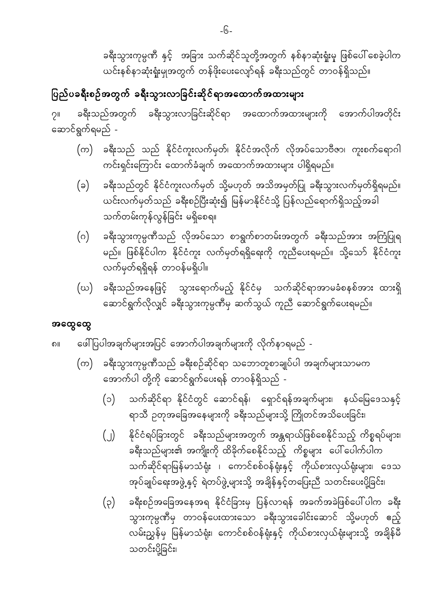ခရီးသွားကုမ္ပဏီ နှင့် အခြား သက်ဆိုင်သူတို့အတွက် နစ်နာဆုံးရှုံးမှ ဖြစ်ပေါ် စေခဲ့ပါက ယင်းနစ်နာဆုံးရှုံးမှုအတွက် တန်ဖိုးပေးလျော်ရန် ခရီးသည်တွင် တာဝန်ရှိသည်။

### ပြည်ပခရီးစဉ်အတွက် ခရီးသွားလာခြင်းဆိုင်ရာအထောက်အထားများ

ခရီးသည်အတွက် ခရီးသွားလာခြင်းဆိုင်ရာ အထောက်အထားများကို အောက်ပါအတိုင်း  $2^{\parallel}$ ဆောင်ရွက်ရမည် -

- (က) ခရီးသည် သည် နိုင်ငံကူးလက်မှတ်၊ နိုင်ငံအလိုက် လိုအပ်သောဗီဇာ၊ ကူးစက်ရောဂါ ကင်းရှင်းကြောင်း ထောက်ခံချက် အထောက်အထားများ ပါရှိရမည်။
- ခရီးသည်တွင် နိုင်ငံကူးလက်မှတ် သို့မဟုတ် အသိအမှတ်ပြု ခရီးသွားလက်မှတ်ရှိရမည်။  $(a)$ ယင်းလက်မှတ်သည် ခရီးစဉ်ပြီးဆုံး၍ မြန်မာနိုင်ငံသို့ ပြန်လည်ရောက်ရှိသည့်အခါ သက်တမ်းကုန်လွန်ခြင်<mark>း</mark> မရှိစေရ။
- ခရီးသွားကုမ္ပဏီသည် လိုအပ်သော စာရွက်စာတမ်းအတွက် ခရီးသည်အား အကြံပြုရ  $(\circ)$ မည်။ ဖြစ်နိုင်ပါက နိုင်ငံကူး လက်မှတ်ရရှိရေးကို ကူညီပေးရမည်။ သို့သော် နိုင်ငံကူး လက်မှတ်ရရှိရန် တာဝန်မရှိပါ။
- (ဃ) ခရီးသည်အနေဖြင့် သွားရောက်မည့် နိုင်ငံမှ သက်ဆိုင်ရာအာမခံစနစ်အား ထားရှိ ဆောင်ရွက်လိုလျှင် ခရီးသွားကုမ္ပဏီမှ ဆက်သွယ် ကူညီ ဆောင်ရွက်ပေးရမည်။

#### အထွေထွေ

ဖေါ်ပြပါအချက်များအပြင် အောက်ပါအချက်များကို လိုက်နာရမည် -၈။

- ခရီးသွားကုမ္ပဏီသည် ခရီးစဉ်ဆိုင်ရာ သဘောတူစာချုပ်ပါ အချက်များသာမက (က) အောက်ပါ တို့ကို ဆောင်ရွက်ပေးရန် တာဝန်ရှိသည် -
	- $(c)$ သက်ဆိုင်ရာ နိုင်ငံတွင် ဆောင်ရန်၊ ရှောင်ရန်အချက်များ၊ နယ်မြေဒေသနှင့် ရာသီ ဥတုအခြေအနေများကို ခရီးသည်များသို့ ကြိုတင်အသိပေးခြင်း၊
	- နိုင်ငံရပ်ခြားတွင် ခရီးသည်များအတွက် အန္တရာယ်ဖြစ်စေနိုင်သည့် ကိစ္စရပ်များ၊  $\bigcup$ ခရီးသည်များ၏ အကျိုးကို ထိခိုက်စေနိုင်သည့် ကိစ္စများ ပေါ်ပေါက်ပါက သက်ဆိုင်ရာမြန်မာသံရုံး ၊ ကောင်စစ်ဝန်ရုံးနှင့် ကိုယ်စားလှယ်ရုံးများ၊ ဒေသ အုပ်ချုပ်ရေးအဖွဲ့နှင့် ရဲတပ်ဖွဲ့များသို့ အချိန်နှင့်တပြေးညီ သတင်းပေးပို့ခြင်း၊
	- ခရီးစဉ်အခြေအနေအရ နိုင်ငံခြားမှ ပြန်လာရန် အခက်အခဲဖြစ်ပေါ် ပါက ခရီး  $(\varphi)$ သွားကုမ္ပဏီမှ တာဝန်ပေးထားသော ခရီးသွားခေါင်းဆောင် သို့မဟုတ် ဧည့် လမ်းညွှန်မှ မြန်မာသံရုံး၊ ကောင်စစ်ဝန်ရုံးနှင့် ကိုယ်စားလှယ်ရုံးများသို့ အချိန်မီ သတင်းပို့ခြင်း၊